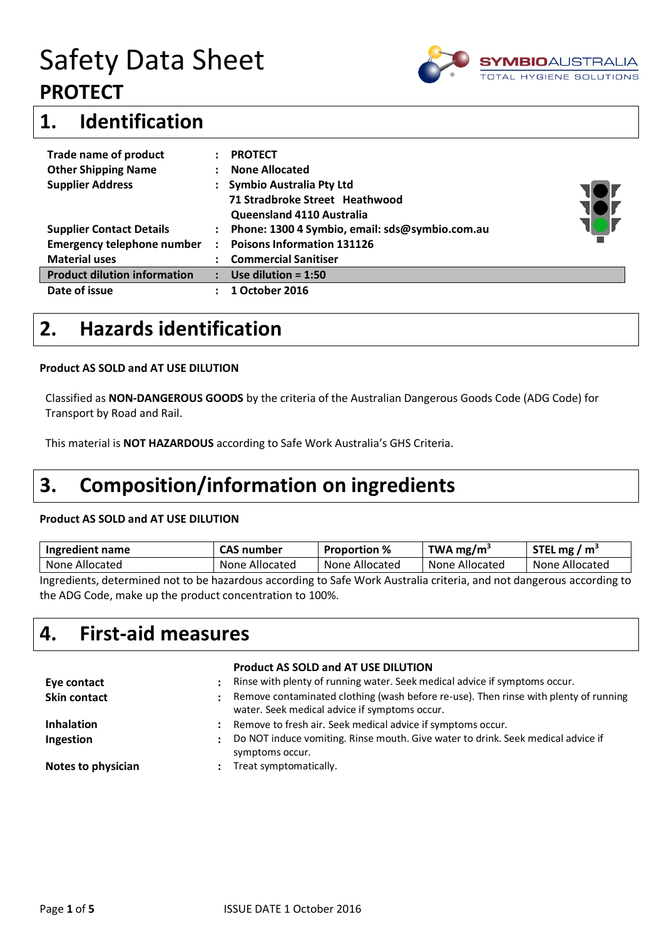

### **1. Identification**

| <b>Trade name of product</b>        | <b>PROTECT</b>                                 |  |
|-------------------------------------|------------------------------------------------|--|
| <b>Other Shipping Name</b>          | <b>None Allocated</b>                          |  |
| <b>Supplier Address</b>             | Symbio Australia Pty Ltd                       |  |
|                                     | 71 Stradbroke Street Heathwood                 |  |
|                                     | Queensland 4110 Australia                      |  |
| <b>Supplier Contact Details</b>     | Phone: 1300 4 Symbio, email: sds@symbio.com.au |  |
| <b>Emergency telephone number</b>   | <b>Poisons Information 131126</b>              |  |
| <b>Material uses</b>                | <b>Commercial Sanitiser</b>                    |  |
| <b>Product dilution information</b> | Use dilution = $1:50$                          |  |
| Date of issue                       | 1 October 2016                                 |  |

### **2. Hazards identification**

#### **Product AS SOLD and AT USE DILUTION**

Classified as **NON-DANGEROUS GOODS** by the criteria of the Australian Dangerous Goods Code (ADG Code) for Transport by Road and Rail.

This material is **NOT HAZARDOUS** according to Safe Work Australia's GHS Criteria.

### **3. Composition/information on ingredients**

#### **Product AS SOLD and AT USE DILUTION**

| Ingredient name                                                                                                                  | CAS number     | <b>Proportion</b> % | TWA mg/m $3$   | STEL mg / $m3$ |
|----------------------------------------------------------------------------------------------------------------------------------|----------------|---------------------|----------------|----------------|
| None Allocated                                                                                                                   | None Allocated | None Allocated      | None Allocated | None Allocated |
| lorsation to be reach to be experienced and professor in the beginning to Cata Virtualia criteria and not dangerous according to |                |                     |                |                |

Ingredients, determined not to be hazardous according to Safe Work Australia criteria, and not dangerous according to the ADG Code, make up the product concentration to 100%.

### **4. First-aid measures**

| Eye contact<br><b>Skin contact</b> | $\ddot{\cdot}$<br>٠  | <b>Product AS SOLD and AT USE DILUTION</b><br>Rinse with plenty of running water. Seek medical advice if symptoms occur.<br>Remove contaminated clothing (wash before re-use). Then rinse with plenty of running<br>water. Seek medical advice if symptoms occur. |
|------------------------------------|----------------------|-------------------------------------------------------------------------------------------------------------------------------------------------------------------------------------------------------------------------------------------------------------------|
| <b>Inhalation</b>                  | :                    | Remove to fresh air. Seek medical advice if symptoms occur.<br>Do NOT induce vomiting. Rinse mouth. Give water to drink. Seek medical advice if                                                                                                                   |
| Ingestion<br>Notes to physician    | $\ddot{\phantom{a}}$ | symptoms occur.<br>Treat symptomatically.                                                                                                                                                                                                                         |
|                                    |                      |                                                                                                                                                                                                                                                                   |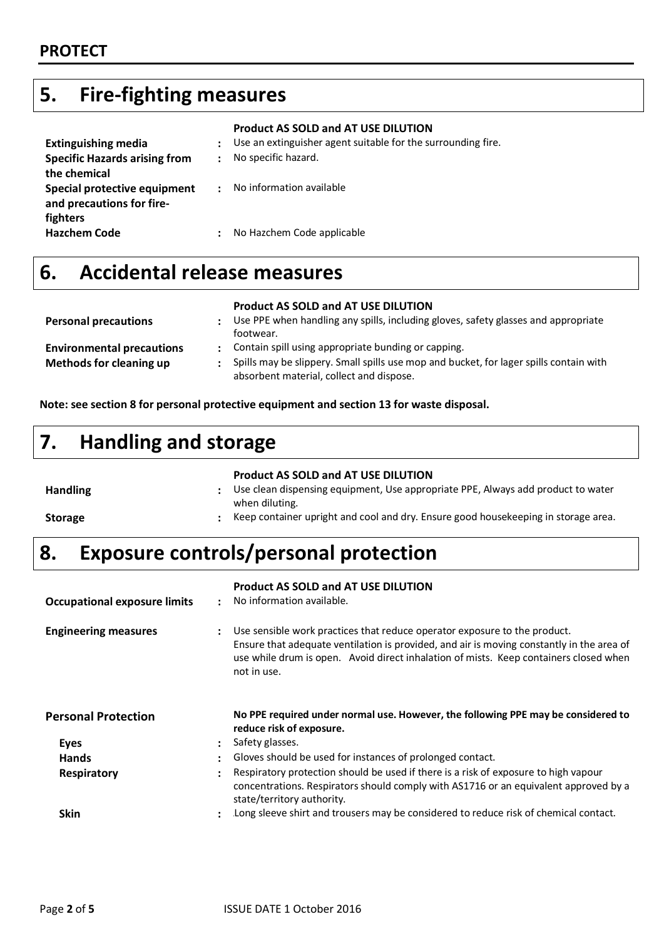### **5. Fire-fighting measures**

|                                      |   | <b>Product AS SOLD and AT USE DILUTION</b>                   |
|--------------------------------------|---|--------------------------------------------------------------|
| <b>Extinguishing media</b>           | ÷ | Use an extinguisher agent suitable for the surrounding fire. |
| <b>Specific Hazards arising from</b> |   | No specific hazard.                                          |
| the chemical                         |   |                                                              |
| Special protective equipment         | ٠ | No information available                                     |
| and precautions for fire-            |   |                                                              |
| fighters                             |   |                                                              |
| <b>Hazchem Code</b>                  |   | No Hazchem Code applicable                                   |
|                                      |   |                                                              |

## **6. Accidental release measures**

#### **Product AS SOLD and AT USE DILUTION**

| Use PPE when handling any spills, including gloves, safety glasses and appropriate<br>footwear.                                    |
|------------------------------------------------------------------------------------------------------------------------------------|
| Contain spill using appropriate bunding or capping.                                                                                |
| Spills may be slippery. Small spills use mop and bucket, for lager spills contain with<br>absorbent material, collect and dispose. |
|                                                                                                                                    |

**Note: see section 8 for personal protective equipment and section 13 for waste disposal.**

# **7. Handling and storage**

|                 | <b>Product AS SOLD and AT USE DILUTION</b>                                                         |
|-----------------|----------------------------------------------------------------------------------------------------|
| <b>Handling</b> | Use clean dispensing equipment, Use appropriate PPE, Always add product to water<br>when diluting. |
| <b>Storage</b>  | Keep container upright and cool and dry. Ensure good house keeping in storage area.                |

# **8. Exposure controls/personal protection**

| <b>Occupational exposure limits</b> | $\cdot$              | <b>Product AS SOLD and AT USE DILUTION</b><br>No information available.                                                                                                                                                                                                        |
|-------------------------------------|----------------------|--------------------------------------------------------------------------------------------------------------------------------------------------------------------------------------------------------------------------------------------------------------------------------|
| <b>Engineering measures</b>         | $\ddot{\cdot}$       | Use sensible work practices that reduce operator exposure to the product.<br>Ensure that adequate ventilation is provided, and air is moving constantly in the area of<br>use while drum is open. Avoid direct inhalation of mists. Keep containers closed when<br>not in use. |
| <b>Personal Protection</b>          |                      | No PPE required under normal use. However, the following PPE may be considered to<br>reduce risk of exposure.                                                                                                                                                                  |
| <b>Eyes</b>                         | $\ddot{\phantom{a}}$ | Safety glasses.                                                                                                                                                                                                                                                                |
| <b>Hands</b>                        | $\bullet$            | Gloves should be used for instances of prolonged contact.                                                                                                                                                                                                                      |
| <b>Respiratory</b>                  |                      | Respiratory protection should be used if there is a risk of exposure to high vapour<br>concentrations. Respirators should comply with AS1716 or an equivalent approved by a<br>state/territory authority.                                                                      |
| Skin                                | $\ddot{\phantom{a}}$ | Long sleeve shirt and trousers may be considered to reduce risk of chemical contact.                                                                                                                                                                                           |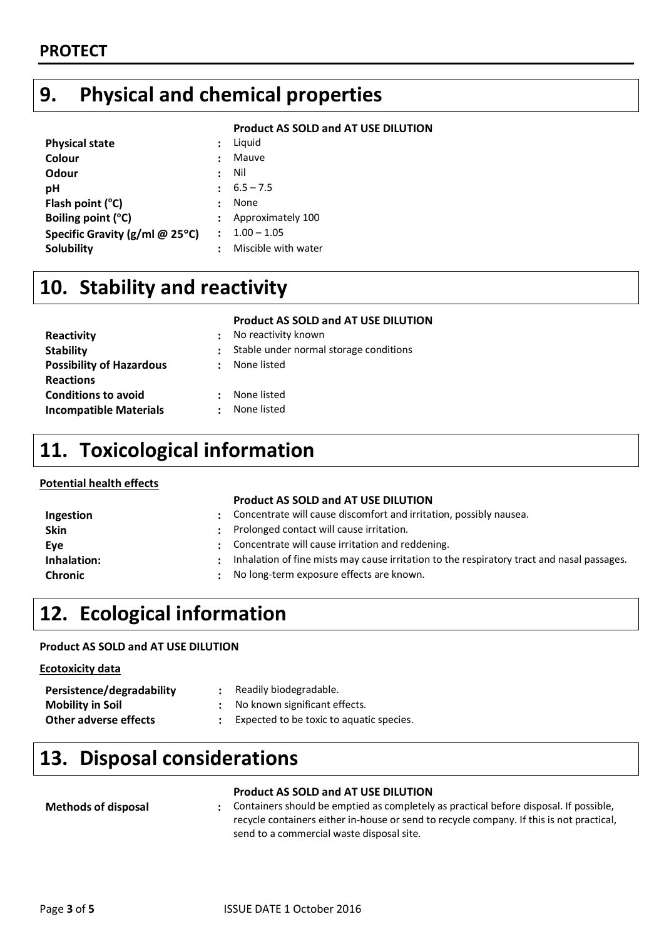## **9. Physical and chemical properties**

#### **Product AS SOLD and AT USE DILUTION**

| <b>Physical state</b>                         |                | Liquid              |
|-----------------------------------------------|----------------|---------------------|
| Colour                                        |                | Mauve               |
| Odour                                         | $\ddot{\cdot}$ | Nil                 |
| рH                                            |                | $6.5 - 7.5$         |
| Flash point $(^{\circ}C)$                     |                | None                |
| Boiling point (°C)                            |                | Approximately 100   |
| Specific Gravity ( $g$ /ml @ 25 $^{\circ}$ C) |                | $1.00 - 1.05$       |
| <b>Solubility</b>                             |                | Miscible with water |

## **10. Stability and reactivity**

|                                                 | <b>Product AS SOLD and AT USE DILUTION</b>  |
|-------------------------------------------------|---------------------------------------------|
| Reactivity                                      | No reactivity known<br>$\ddot{\phantom{a}}$ |
| <b>Stability</b>                                | Stable under normal storage conditions      |
| <b>Possibility of Hazardous</b>                 | None listed<br>$\ddot{\phantom{a}}$         |
| <b>Reactions</b>                                |                                             |
| <b>Conditions to avoid</b>                      | None listed<br>$\ddot{\cdot}$               |
| <b>Incompatible Materials</b><br>$\ddot{\cdot}$ | None listed                                 |

### **11. Toxicological information**

### **Potential health effects**

### **Product AS SOLD and AT USE DILUTION**

| Ingestion      |   | Concentrate will cause discomfort and irritation, possibly nausea.                         |
|----------------|---|--------------------------------------------------------------------------------------------|
| <b>Skin</b>    | ٠ | Prolonged contact will cause irritation.                                                   |
| Eve            | ٠ | Concentrate will cause irritation and reddening.                                           |
| Inhalation:    |   | Inhalation of fine mists may cause irritation to the respiratory tract and nasal passages. |
| <b>Chronic</b> | ۰ | No long-term exposure effects are known.                                                   |

## **12. Ecological information**

### **Product AS SOLD and AT USE DILUTION**

#### **Ecotoxicity data**

| Persistence/degradability    | Readily biodegradable.                   |
|------------------------------|------------------------------------------|
| <b>Mobility in Soil</b>      | : No known significant effects.          |
| <b>Other adverse effects</b> | Expected to be toxic to aquatic species. |

# **13. Disposal considerations**

|                            | <b>Product AS SOLD and AT USE DILUTION</b>                                               |
|----------------------------|------------------------------------------------------------------------------------------|
| <b>Methods of disposal</b> | : Containers should be emptied as completely as practical before disposal. If possible,  |
|                            | recycle containers either in-house or send to recycle company. If this is not practical, |
|                            | send to a commercial waste disposal site.                                                |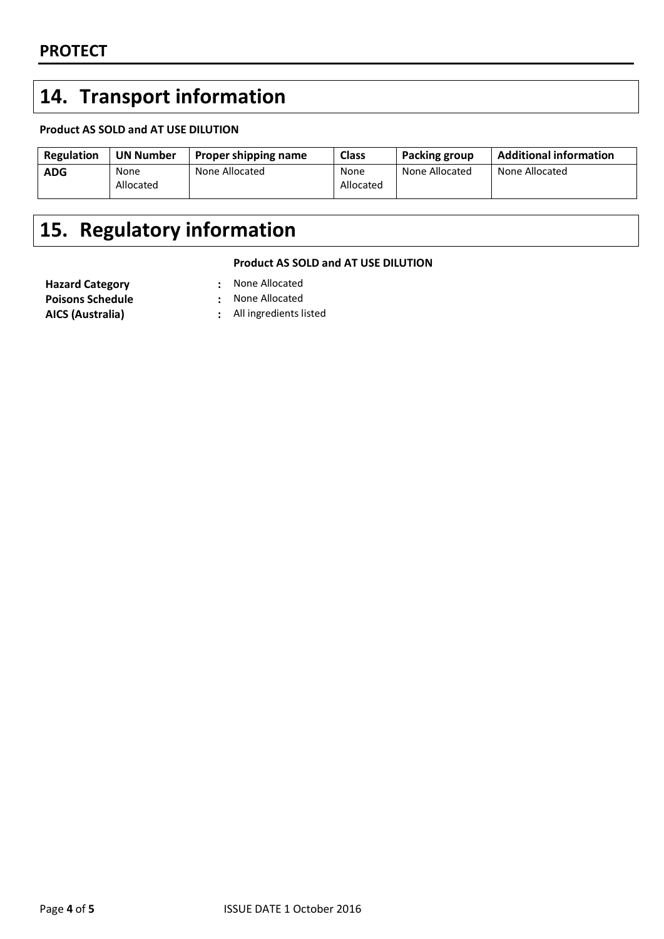# **14. Transport information**

### **Product AS SOLD and AT USE DILUTION**

| Regulation | <b>UN Number</b>  | <b>Proper shipping name</b> | <b>Class</b>      | <b>Packing group</b> | <b>Additional information</b> |
|------------|-------------------|-----------------------------|-------------------|----------------------|-------------------------------|
| <b>ADG</b> | None<br>Allocated | None Allocated              | None<br>Allocated | None Allocated       | None Allocated                |

# **15. Regulatory information**

#### **Product AS SOLD and AT USE DILUTION**

**Hazard Category :** None Allocated **Poisons Schedule :** None Allocated

- 
- 
- **AICS (Australia) :** All ingredients listed